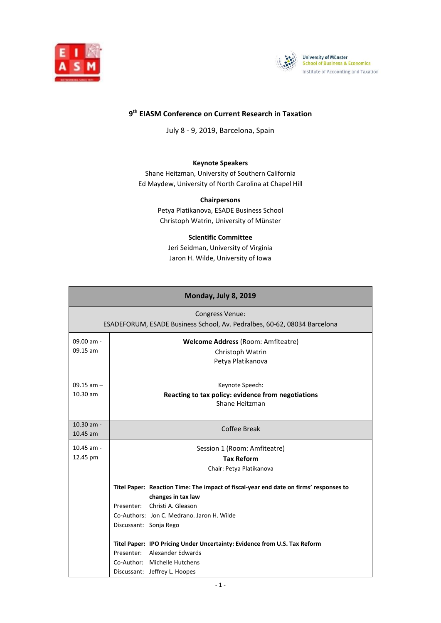



## **9 th EIASM Conference on Current Research in Taxation**

July 8 - 9, 2019, Barcelona, Spain

#### **Keynote Speakers**

Shane Heitzman, University of Southern California Ed Maydew, University of North Carolina at Chapel Hill

> **Chairpersons** Petya Platikanova, ESADE Business School Christoph Watrin, University of Münster

#### **Scientific Committee**

Jeri Seidman, University of Virginia Jaron H. Wilde, University of Iowa

| Monday, July 8, 2019     |                                                                                       |  |
|--------------------------|---------------------------------------------------------------------------------------|--|
| <b>Congress Venue:</b>   |                                                                                       |  |
|                          | ESADEFORUM, ESADE Business School, Av. Pedralbes, 60-62, 08034 Barcelona              |  |
| 09.00 am -               | <b>Welcome Address (Room: Amfiteatre)</b>                                             |  |
| 09.15 am                 | Christoph Watrin                                                                      |  |
|                          | Petya Platikanova                                                                     |  |
| $09.15$ am $-$           | Keynote Speech:                                                                       |  |
| 10.30 am                 | Reacting to tax policy: evidence from negotiations                                    |  |
|                          | Shane Heitzman                                                                        |  |
|                          |                                                                                       |  |
| 10.30 am -<br>$10.45$ am | Coffee Break                                                                          |  |
|                          |                                                                                       |  |
| $10.45$ am -<br>12.45 pm | Session 1 (Room: Amfiteatre)                                                          |  |
|                          | <b>Tax Reform</b>                                                                     |  |
|                          | Chair: Petya Platikanova                                                              |  |
|                          | Titel Paper: Reaction Time: The impact of fiscal-year end date on firms' responses to |  |
|                          | changes in tax law                                                                    |  |
|                          | Presenter: Christi A. Gleason                                                         |  |
|                          | Co-Authors: Jon C. Medrano, Jaron H. Wilde                                            |  |
|                          | Discussant: Sonja Rego                                                                |  |
|                          | Titel Paper: IPO Pricing Under Uncertainty: Evidence from U.S. Tax Reform             |  |
|                          | Presenter: Alexander Edwards                                                          |  |
|                          | Co-Author: Michelle Hutchens                                                          |  |
|                          | Discussant: Jeffrey L. Hoopes                                                         |  |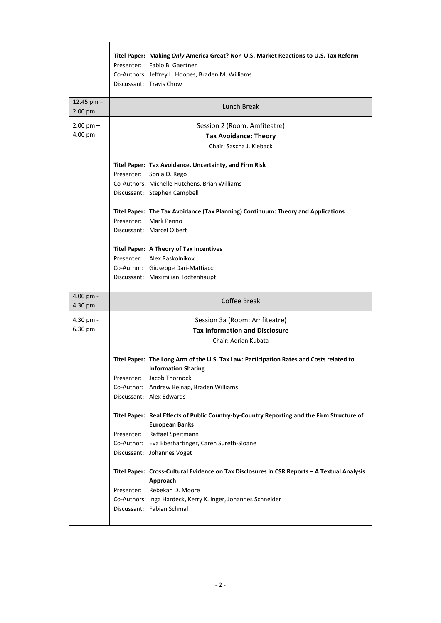|                          | Titel Paper: Making Only America Great? Non-U.S. Market Reactions to U.S. Tax Reform<br>Presenter: Fabio B. Gaertner<br>Co-Authors: Jeffrey L. Hoopes, Braden M. Williams<br>Discussant: Travis Chow                                   |
|--------------------------|----------------------------------------------------------------------------------------------------------------------------------------------------------------------------------------------------------------------------------------|
| 12.45 pm $-$<br>2.00 pm  | Lunch Break                                                                                                                                                                                                                            |
| $2.00$ pm $-$<br>4.00 pm | Session 2 (Room: Amfiteatre)<br><b>Tax Avoidance: Theory</b><br>Chair: Sascha J. Kieback                                                                                                                                               |
|                          | Titel Paper: Tax Avoidance, Uncertainty, and Firm Risk<br>Presenter:<br>Sonja O. Rego<br>Co-Authors: Michelle Hutchens, Brian Williams<br>Discussant: Stephen Campbell                                                                 |
|                          | Titel Paper: The Tax Avoidance (Tax Planning) Continuum: Theory and Applications<br>Presenter: Mark Penno<br>Discussant: Marcel Olbert                                                                                                 |
|                          | <b>Titel Paper: A Theory of Tax Incentives</b><br>Presenter: Alex Raskolnikov<br>Co-Author: Giuseppe Dari-Mattiacci<br>Discussant: Maximilian Todtenhaupt                                                                              |
|                          |                                                                                                                                                                                                                                        |
| 4.00 pm -<br>4.30 pm     | Coffee Break                                                                                                                                                                                                                           |
| 4.30 pm -<br>6.30 pm     | Session 3a (Room: Amfiteatre)<br><b>Tax Information and Disclosure</b><br>Chair: Adrian Kubata                                                                                                                                         |
|                          | Titel Paper: The Long Arm of the U.S. Tax Law: Participation Rates and Costs related to<br><b>Information Sharing</b><br>Presenter: Jacob Thornock<br>Co-Author: Andrew Belnap, Braden Williams<br>Discussant: Alex Edwards            |
|                          | Titel Paper: Real Effects of Public Country-by-Country Reporting and the Firm Structure of<br><b>European Banks</b><br>Presenter: Raffael Speitmann<br>Co-Author: Eva Eberhartinger, Caren Sureth-Sloane<br>Discussant: Johannes Voget |

.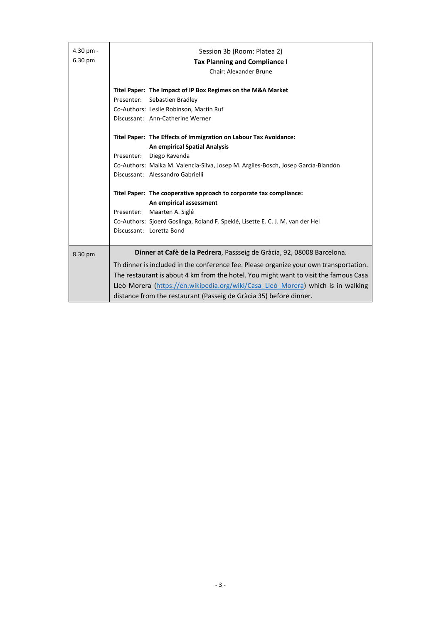| 4.30 pm -<br>6.30 pm | Session 3b (Room: Platea 2)<br><b>Tax Planning and Compliance I</b><br><b>Chair: Alexander Brune</b>                                                                                                                                                                                                                                                                                                |
|----------------------|-----------------------------------------------------------------------------------------------------------------------------------------------------------------------------------------------------------------------------------------------------------------------------------------------------------------------------------------------------------------------------------------------------|
|                      | Titel Paper: The Impact of IP Box Regimes on the M&A Market<br>Presenter:<br>Sebastien Bradley<br>Co-Authors: Leslie Robinson, Martin Ruf<br>Discussant: Ann-Catherine Werner                                                                                                                                                                                                                       |
|                      | Titel Paper: The Effects of Immigration on Labour Tax Avoidance:<br><b>An empirical Spatial Analysis</b><br>Diego Ravenda<br>Presenter:<br>Co-Authors: Maika M. Valencia-Silva, Josep M. Argiles-Bosch, Josep García-Blandón<br>Discussant: Alessandro Gabrielli<br>Titel Paper: The cooperative approach to corporate tax compliance:<br>An empirical assessment<br>Maarten A. Siglé<br>Presenter: |
|                      | Co-Authors: Sjoerd Goslinga, Roland F. Speklé, Lisette E. C. J. M. van der Hel<br>Discussant: Loretta Bond                                                                                                                                                                                                                                                                                          |
| 8.30 pm              | Dinner at Cafè de la Pedrera, Passseig de Gràcia, 92, 08008 Barcelona.                                                                                                                                                                                                                                                                                                                              |
|                      | Th dinner is included in the conference fee. Please organize your own transportation.<br>The restaurant is about 4 km from the hotel. You might want to visit the famous Casa<br>Lleò Morera (https://en.wikipedia.org/wiki/Casa Lleó Morera) which is in walking<br>distance from the restaurant (Passeig de Gràcia 35) before dinner.                                                             |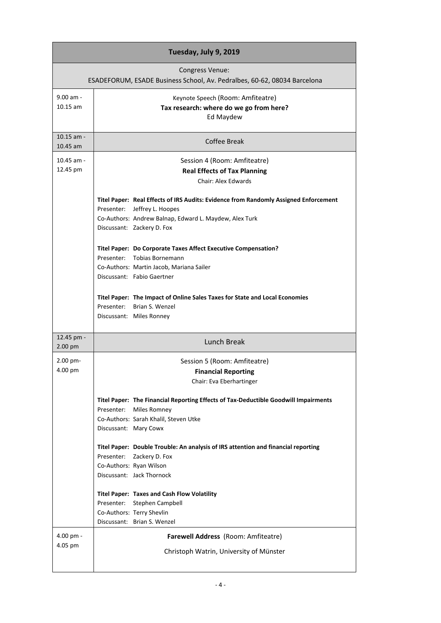|                                                                                             | Tuesday, July 9, 2019                                                                |  |
|---------------------------------------------------------------------------------------------|--------------------------------------------------------------------------------------|--|
| Congress Venue:<br>ESADEFORUM, ESADE Business School, Av. Pedralbes, 60-62, 08034 Barcelona |                                                                                      |  |
| 9.00 am -                                                                                   | Keynote Speech (Room: Amfiteatre)                                                    |  |
| $10.15$ am                                                                                  | Tax research: where do we go from here?                                              |  |
|                                                                                             | Ed Maydew                                                                            |  |
| $10.15$ am -<br>10.45 am                                                                    | Coffee Break                                                                         |  |
|                                                                                             |                                                                                      |  |
| 10.45 am -<br>12.45 pm                                                                      | Session 4 (Room: Amfiteatre)                                                         |  |
|                                                                                             | <b>Real Effects of Tax Planning</b><br><b>Chair: Alex Edwards</b>                    |  |
|                                                                                             |                                                                                      |  |
|                                                                                             | Titel Paper: Real Effects of IRS Audits: Evidence from Randomly Assigned Enforcement |  |
|                                                                                             | Presenter: Jeffrey L. Hoopes                                                         |  |
|                                                                                             | Co-Authors: Andrew Balnap, Edward L. Maydew, Alex Turk                               |  |
|                                                                                             | Discussant: Zackery D. Fox                                                           |  |
|                                                                                             | Titel Paper: Do Corporate Taxes Affect Executive Compensation?                       |  |
|                                                                                             | Presenter: Tobias Bornemann                                                          |  |
|                                                                                             | Co-Authors: Martin Jacob, Mariana Sailer                                             |  |
|                                                                                             | Discussant: Fabio Gaertner                                                           |  |
|                                                                                             | Titel Paper: The Impact of Online Sales Taxes for State and Local Economies          |  |
|                                                                                             | Presenter: Brian S. Wenzel                                                           |  |
|                                                                                             | Discussant: Miles Ronney                                                             |  |
| 12.45 pm -                                                                                  | Lunch Break                                                                          |  |
| 2.00 pm                                                                                     |                                                                                      |  |
| 2.00 pm-<br>4.00 pm                                                                         | Session 5 (Room: Amfiteatre)<br><b>Financial Reporting</b>                           |  |
|                                                                                             | Chair: Eva Eberhartinger                                                             |  |
|                                                                                             |                                                                                      |  |
|                                                                                             | Titel Paper: The Financial Reporting Effects of Tax-Deductible Goodwill Impairments  |  |
|                                                                                             | Presenter: Miles Romney                                                              |  |
|                                                                                             | Co-Authors: Sarah Khalil, Steven Utke                                                |  |
|                                                                                             | Discussant: Mary Cowx                                                                |  |
|                                                                                             | Titel Paper: Double Trouble: An analysis of IRS attention and financial reporting    |  |
|                                                                                             | Presenter: Zackery D. Fox                                                            |  |
|                                                                                             | Co-Authors: Ryan Wilson                                                              |  |
|                                                                                             | Discussant: Jack Thornock                                                            |  |
|                                                                                             | <b>Titel Paper: Taxes and Cash Flow Volatility</b>                                   |  |
|                                                                                             | Presenter: Stephen Campbell                                                          |  |
|                                                                                             | Co-Authors: Terry Shevlin                                                            |  |
|                                                                                             | Discussant: Brian S. Wenzel                                                          |  |
| 4.00 pm -                                                                                   | Farewell Address (Room: Amfiteatre)                                                  |  |
| 4.05 pm                                                                                     | Christoph Watrin, University of Münster                                              |  |
|                                                                                             |                                                                                      |  |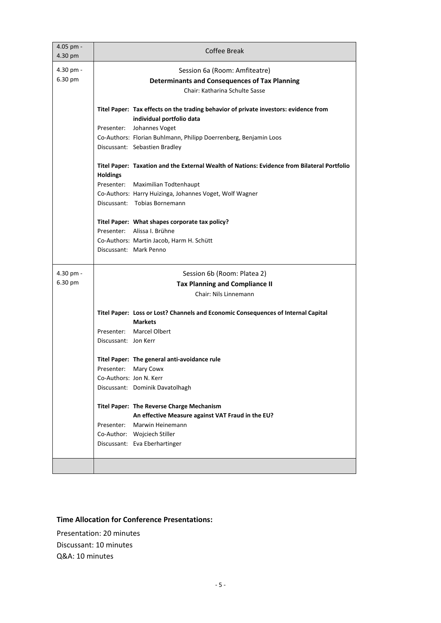| 4.05 pm -<br>4.30 pm | <b>Coffee Break</b>                                                                                                     |
|----------------------|-------------------------------------------------------------------------------------------------------------------------|
| 4.30 pm -<br>6.30 pm | Session 6a (Room: Amfiteatre)<br><b>Determinants and Consequences of Tax Planning</b><br>Chair: Katharina Schulte Sasse |
|                      | Titel Paper: Tax effects on the trading behavior of private investors: evidence from<br>individual portfolio data       |
|                      | Presenter:<br>Johannes Voget                                                                                            |
|                      | Co-Authors: Florian Buhlmann, Philipp Doerrenberg, Benjamin Loos                                                        |
|                      | Discussant: Sebastien Bradley                                                                                           |
|                      | Titel Paper: Taxation and the External Wealth of Nations: Evidence from Bilateral Portfolio<br><b>Holdings</b>          |
|                      | Presenter: Maximilian Todtenhaupt                                                                                       |
|                      | Co-Authors: Harry Huizinga, Johannes Voget, Wolf Wagner                                                                 |
|                      | Discussant: Tobias Bornemann                                                                                            |
|                      | Titel Paper: What shapes corporate tax policy?                                                                          |
|                      | Presenter: Alissa I. Brühne                                                                                             |
|                      | Co-Authors: Martin Jacob, Harm H. Schütt                                                                                |
|                      | Discussant: Mark Penno                                                                                                  |
| 4.30 pm -            | Session 6b (Room: Platea 2)                                                                                             |
| 6.30 pm              | <b>Tax Planning and Compliance II</b>                                                                                   |
|                      | Chair: Nils Linnemann                                                                                                   |
|                      | Titel Paper: Loss or Lost? Channels and Economic Consequences of Internal Capital                                       |
|                      | <b>Markets</b>                                                                                                          |
|                      | Presenter: Marcel Olbert                                                                                                |
|                      | Discussant: Jon Kerr                                                                                                    |
|                      | Titel Paper: The general anti-avoidance rule                                                                            |
|                      | Mary Cowx<br>Presenter:                                                                                                 |
|                      | Co-Authors: Jon N. Kerr                                                                                                 |
|                      | Discussant: Dominik Davatolhagh                                                                                         |
|                      | Titel Paper: The Reverse Charge Mechanism                                                                               |
|                      | An effective Measure against VAT Fraud in the EU?                                                                       |
|                      | Presenter:<br>Marwin Heinemann                                                                                          |
|                      | Co-Author: Wojciech Stiller<br>Discussant: Eva Eberhartinger                                                            |
|                      |                                                                                                                         |
|                      |                                                                                                                         |

## **Time Allocation for Conference Presentations:**

Presentation: 20 minutes Discussant: 10 minutes Q&A: 10 minutes